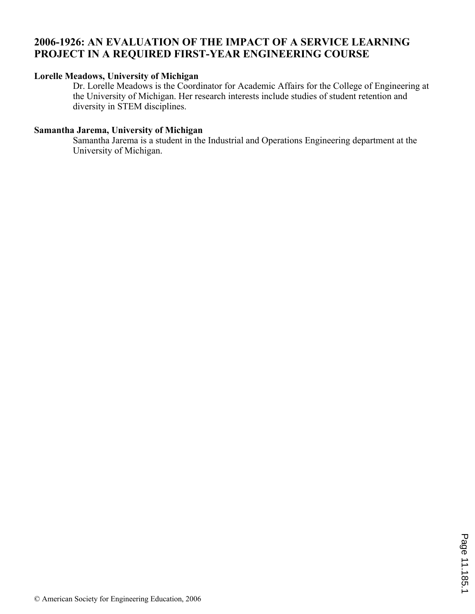# **2006-1926: AN EVALUATION OF THE IMPACT OF A SERVICE LEARNING PROJECT IN A REQUIRED FIRST-YEAR ENGINEERING COURSE**

#### **Lorelle Meadows, University of Michigan**

Dr. Lorelle Meadows is the Coordinator for Academic Affairs for the College of Engineering at the University of Michigan. Her research interests include studies of student retention and diversity in STEM disciplines.

### **Samantha Jarema, University of Michigan**

Samantha Jarema is a student in the Industrial and Operations Engineering department at the University of Michigan.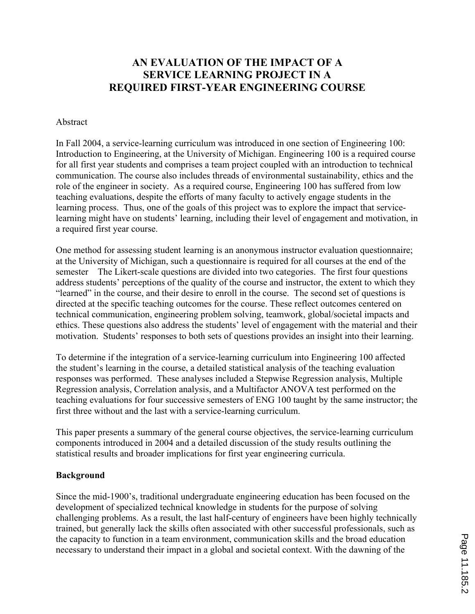# **AN EVALUATION OF THE IMPACT OF A SERVICE LEARNING PROJECT IN A REQUIRED FIRST-YEAR ENGINEERING COURSE**

#### Abstract

In Fall 2004, a service-learning curriculum was introduced in one section of Engineering 100: Introduction to Engineering, at the University of Michigan. Engineering 100 is a required course for all first year students and comprises a team project coupled with an introduction to technical communication. The course also includes threads of environmental sustainability, ethics and the role of the engineer in society. As a required course, Engineering 100 has suffered from low teaching evaluations, despite the efforts of many faculty to actively engage students in the learning process. Thus, one of the goals of this project was to explore the impact that servicelearning might have on students' learning, including their level of engagement and motivation, in a required first year course.

One method for assessing student learning is an anonymous instructor evaluation questionnaire; at the University of Michigan, such a questionnaire is required for all courses at the end of the semester The Likert-scale questions are divided into two categories. The first four questions address students' perceptions of the quality of the course and instructor, the extent to which they "learned" in the course, and their desire to enroll in the course. The second set of questions is directed at the specific teaching outcomes for the course. These reflect outcomes centered on technical communication, engineering problem solving, teamwork, global/societal impacts and ethics. These questions also address the students' level of engagement with the material and their motivation. Students' responses to both sets of questions provides an insight into their learning.

To determine if the integration of a service-learning curriculum into Engineering 100 affected the student's learning in the course, a detailed statistical analysis of the teaching evaluation responses was performed. These analyses included a Stepwise Regression analysis, Multiple Regression analysis, Correlation analysis, and a Multifactor ANOVA test performed on the teaching evaluations for four successive semesters of ENG 100 taught by the same instructor; the first three without and the last with a service-learning curriculum.

This paper presents a summary of the general course objectives, the service-learning curriculum components introduced in 2004 and a detailed discussion of the study results outlining the statistical results and broader implications for first year engineering curricula.

#### **Background**

Since the mid-1900's, traditional undergraduate engineering education has been focused on the development of specialized technical knowledge in students for the purpose of solving challenging problems. As a result, the last half-century of engineers have been highly technically trained, but generally lack the skills often associated with other successful professionals, such as the capacity to function in a team environment, communication skills and the broad education necessary to understand their impact in a global and societal context. With the dawning of the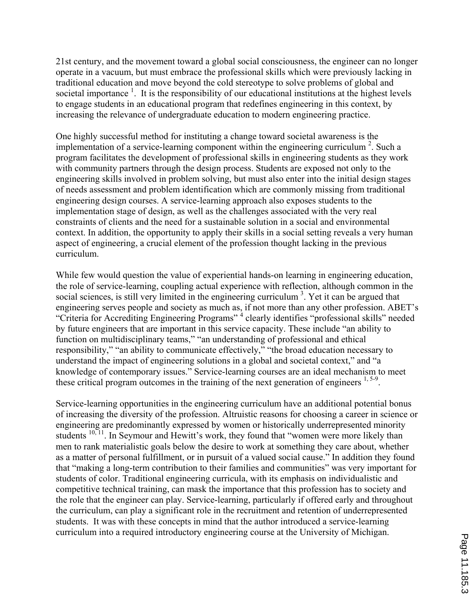21st century, and the movement toward a global social consciousness, the engineer can no longer operate in a vacuum, but must embrace the professional skills which were previously lacking in traditional education and move beyond the cold stereotype to solve problems of global and societal importance  $<sup>1</sup>$ . It is the responsibility of our educational institutions at the highest levels</sup> to engage students in an educational program that redefines engineering in this context, by increasing the relevance of undergraduate education to modern engineering practice.

One highly successful method for instituting a change toward societal awareness is the implementation of a service-learning component within the engineering curriculum<sup>2</sup>. Such a program facilitates the development of professional skills in engineering students as they work with community partners through the design process. Students are exposed not only to the engineering skills involved in problem solving, but must also enter into the initial design stages of needs assessment and problem identification which are commonly missing from traditional engineering design courses. A service-learning approach also exposes students to the implementation stage of design, as well as the challenges associated with the very real constraints of clients and the need for a sustainable solution in a social and environmental context. In addition, the opportunity to apply their skills in a social setting reveals a very human aspect of engineering, a crucial element of the profession thought lacking in the previous curriculum.

While few would question the value of experiential hands-on learning in engineering education, the role of service-learning, coupling actual experience with reflection, although common in the social sciences, is still very limited in the engineering curriculum<sup>3</sup>. Yet it can be argued that engineering serves people and society as much as, if not more than any other profession. ABET's "Criteria for Accrediting Engineering Programs"<sup>4</sup> clearly identifies "professional skills" needed by future engineers that are important in this service capacity. These include "an ability to function on multidisciplinary teams," "an understanding of professional and ethical responsibility," "an ability to communicate effectively," "the broad education necessary to understand the impact of engineering solutions in a global and societal context," and "a knowledge of contemporary issues." Service-learning courses are an ideal mechanism to meet these critical program outcomes in the training of the next generation of engineers  $1, 5-9$ .

Service-learning opportunities in the engineering curriculum have an additional potential bonus of increasing the diversity of the profession. Altruistic reasons for choosing a career in science or engineering are predominantly expressed by women or historically underrepresented minority students  $10, 11$ . In Seymour and Hewitt's work, they found that "women were more likely than men to rank materialistic goals below the desire to work at something they care about, whether as a matter of personal fulfillment, or in pursuit of a valued social cause." In addition they found that "making a long-term contribution to their families and communities" was very important for students of color. Traditional engineering curricula, with its emphasis on individualistic and competitive technical training, can mask the importance that this profession has to society and the role that the engineer can play. Service-learning, particularly if offered early and throughout the curriculum, can play a significant role in the recruitment and retention of underrepresented students. It was with these concepts in mind that the author introduced a service-learning curriculum into a required introductory engineering course at the University of Michigan.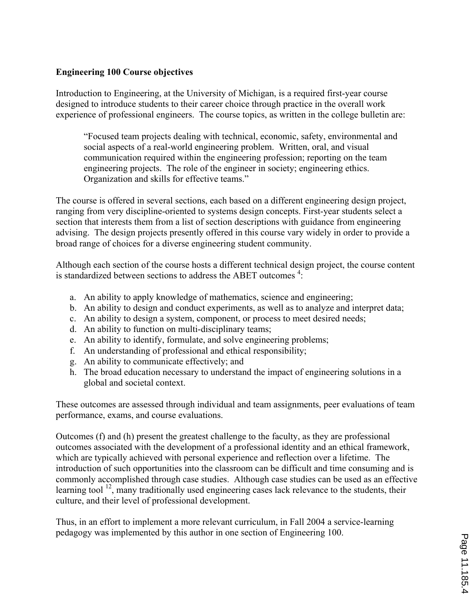## **Engineering 100 Course objectives**

Introduction to Engineering, at the University of Michigan, is a required first-year course designed to introduce students to their career choice through practice in the overall work experience of professional engineers. The course topics, as written in the college bulletin are:

"Focused team projects dealing with technical, economic, safety, environmental and social aspects of a real-world engineering problem. Written, oral, and visual communication required within the engineering profession; reporting on the team engineering projects. The role of the engineer in society; engineering ethics. Organization and skills for effective teams."

The course is offered in several sections, each based on a different engineering design project, ranging from very discipline-oriented to systems design concepts. First-year students select a section that interests them from a list of section descriptions with guidance from engineering advising. The design projects presently offered in this course vary widely in order to provide a broad range of choices for a diverse engineering student community.

Although each section of the course hosts a different technical design project, the course content is standardized between sections to address the ABET outcomes<sup>4</sup>:

- a. An ability to apply knowledge of mathematics, science and engineering;
- b. An ability to design and conduct experiments, as well as to analyze and interpret data;
- c. An ability to design a system, component, or process to meet desired needs;
- d. An ability to function on multi-disciplinary teams;
- e. An ability to identify, formulate, and solve engineering problems;
- f. An understanding of professional and ethical responsibility;
- g. An ability to communicate effectively; and
- h. The broad education necessary to understand the impact of engineering solutions in a global and societal context.

These outcomes are assessed through individual and team assignments, peer evaluations of team performance, exams, and course evaluations.

Outcomes (f) and (h) present the greatest challenge to the faculty, as they are professional outcomes associated with the development of a professional identity and an ethical framework, which are typically achieved with personal experience and reflection over a lifetime. The introduction of such opportunities into the classroom can be difficult and time consuming and is commonly accomplished through case studies. Although case studies can be used as an effective learning tool <sup>12</sup>, many traditionally used engineering cases lack relevance to the students, their culture, and their level of professional development.

Thus, in an effort to implement a more relevant curriculum, in Fall 2004 a service-learning pedagogy was implemented by this author in one section of Engineering 100.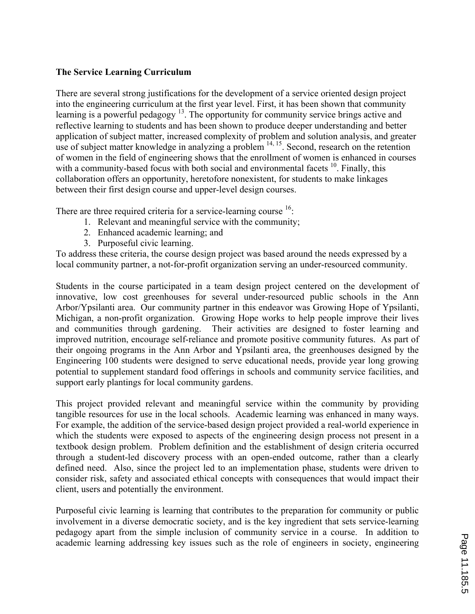## **The Service Learning Curriculum**

There are several strong justifications for the development of a service oriented design project into the engineering curriculum at the first year level. First, it has been shown that community learning is a powerful pedagogy<sup>13</sup>. The opportunity for community service brings active and reflective learning to students and has been shown to produce deeper understanding and better application of subject matter, increased complexity of problem and solution analysis, and greater use of subject matter knowledge in analyzing a problem  $14, 15$ . Second, research on the retention of women in the field of engineering shows that the enrollment of women is enhanced in courses with a community-based focus with both social and environmental facets <sup>10</sup>. Finally, this collaboration offers an opportunity, heretofore nonexistent, for students to make linkages between their first design course and upper-level design courses.

There are three required criteria for a service-learning course  $16$ .

- 1. Relevant and meaningful service with the community;
- 2. Enhanced academic learning; and
- 3. Purposeful civic learning.

To address these criteria, the course design project was based around the needs expressed by a local community partner, a not-for-profit organization serving an under-resourced community.

Students in the course participated in a team design project centered on the development of innovative, low cost greenhouses for several under-resourced public schools in the Ann Arbor/Ypsilanti area. Our community partner in this endeavor was Growing Hope of Ypsilanti, Michigan, a non-profit organization. Growing Hope works to help people improve their lives and communities through gardening. Their activities are designed to foster learning and improved nutrition, encourage self-reliance and promote positive community futures. As part of their ongoing programs in the Ann Arbor and Ypsilanti area, the greenhouses designed by the Engineering 100 students were designed to serve educational needs, provide year long growing potential to supplement standard food offerings in schools and community service facilities, and support early plantings for local community gardens.

This project provided relevant and meaningful service within the community by providing tangible resources for use in the local schools. Academic learning was enhanced in many ways. For example, the addition of the service-based design project provided a real-world experience in which the students were exposed to aspects of the engineering design process not present in a textbook design problem. Problem definition and the establishment of design criteria occurred through a student-led discovery process with an open-ended outcome, rather than a clearly defined need. Also, since the project led to an implementation phase, students were driven to consider risk, safety and associated ethical concepts with consequences that would impact their client, users and potentially the environment.

Purposeful civic learning is learning that contributes to the preparation for community or public involvement in a diverse democratic society, and is the key ingredient that sets service-learning pedagogy apart from the simple inclusion of community service in a course. In addition to academic learning addressing key issues such as the role of engineers in society, engineering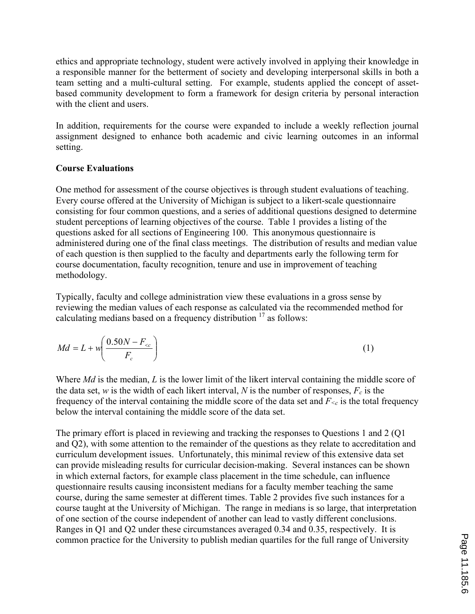ethics and appropriate technology, student were actively involved in applying their knowledge in a responsible manner for the betterment of society and developing interpersonal skills in both a team setting and a multi-cultural setting. For example, students applied the concept of assetbased community development to form a framework for design criteria by personal interaction with the client and users.

In addition, requirements for the course were expanded to include a weekly reflection journal assignment designed to enhance both academic and civic learning outcomes in an informal setting.

## **Course Evaluations**

One method for assessment of the course objectives is through student evaluations of teaching. Every course offered at the University of Michigan is subject to a likert-scale questionnaire consisting for four common questions, and a series of additional questions designed to determine student perceptions of learning objectives of the course. Table 1 provides a listing of the questions asked for all sections of Engineering 100. This anonymous questionnaire is administered during one of the final class meetings. The distribution of results and median value of each question is then supplied to the faculty and departments early the following term for course documentation, faculty recognition, tenure and use in improvement of teaching methodology.

Typically, faculty and college administration view these evaluations in a gross sense by reviewing the median values of each response as calculated via the recommended method for calculating medians based on a frequency distribution  $17$  as follows:

$$
Md = L + w \left( \frac{0.50N - F_{
$$

Where *Md* is the median, *L* is the lower limit of the likert interval containing the middle score of the data set, *w* is the width of each likert interval, *N* is the number of responses,  $F_c$  is the frequency of the interval containing the middle score of the data set and  $F_{\leq c}$  is the total frequency below the interval containing the middle score of the data set.

The primary effort is placed in reviewing and tracking the responses to Questions 1 and 2 (Q1 and Q2), with some attention to the remainder of the questions as they relate to accreditation and curriculum development issues. Unfortunately, this minimal review of this extensive data set can provide misleading results for curricular decision-making. Several instances can be shown in which external factors, for example class placement in the time schedule, can influence questionnaire results causing inconsistent medians for a faculty member teaching the same course, during the same semester at different times. Table 2 provides five such instances for a course taught at the University of Michigan. The range in medians is so large, that interpretation of one section of the course independent of another can lead to vastly different conclusions. Ranges in Q1 and Q2 under these circumstances averaged 0.34 and 0.35, respectively. It is common practice for the University to publish median quartiles for the full range of University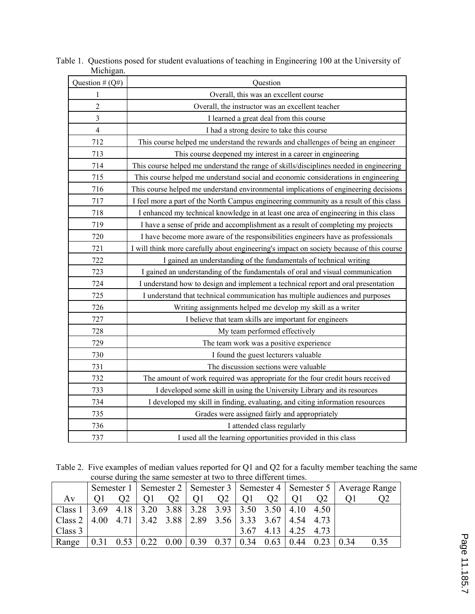| ічісінgан.        |                                                                                          |
|-------------------|------------------------------------------------------------------------------------------|
| Question # $(Q#)$ | Question                                                                                 |
| 1                 | Overall, this was an excellent course                                                    |
| $\overline{c}$    | Overall, the instructor was an excellent teacher                                         |
| 3                 | I learned a great deal from this course                                                  |
| $\overline{4}$    | I had a strong desire to take this course                                                |
| 712               | This course helped me understand the rewards and challenges of being an engineer         |
| 713               | This course deepened my interest in a career in engineering                              |
| 714               | This course helped me understand the range of skills/disciplines needed in engineering   |
| 715               | This course helped me understand social and economic considerations in engineering       |
| 716               | This course helped me understand environmental implications of engineering decisions     |
| 717               | I feel more a part of the North Campus engineering community as a result of this class   |
| 718               | I enhanced my technical knowledge in at least one area of engineering in this class      |
| 719               | I have a sense of pride and accomplishment as a result of completing my projects         |
| 720               | I have become more aware of the responsibilities engineers have as professionals         |
| 721               | I will think more carefully about engineering's impact on society because of this course |
| 722               | I gained an understanding of the fundamentals of technical writing                       |
| 723               | I gained an understanding of the fundamentals of oral and visual communication           |
| 724               | I understand how to design and implement a technical report and oral presentation        |
| 725               | I understand that technical communication has multiple audiences and purposes            |
| 726               | Writing assignments helped me develop my skill as a writer                               |
| 727               | I believe that team skills are important for engineers                                   |
| 728               | My team performed effectively                                                            |
| 729               | The team work was a positive experience                                                  |
| 730               | I found the guest lecturers valuable                                                     |
| 731               | The discussion sections were valuable                                                    |
| 732               | The amount of work required was appropriate for the four credit hours received           |
| 733               | I developed some skill in using the University Library and its resources                 |
| 734               | I developed my skill in finding, evaluating, and citing information resources            |
| 735               | Grades were assigned fairly and appropriately                                            |
| 736               | I attended class regularly                                                               |
| 737               | I used all the learning opportunities provided in this class                             |

Table 1. Questions posed for student evaluations of teaching in Engineering 100 at the University of Michigan.

Table 2. Five examples of median values reported for Q1 and Q2 for a faculty member teaching the same course during the same semester at two to three different times.

|                         |      |                                      |  |    |                                                   |                |      |      |      |      | Semester 1   Semester 2   Semester 3   Semester 4   Semester 5   Average Range |      |
|-------------------------|------|--------------------------------------|--|----|---------------------------------------------------|----------------|------|------|------|------|--------------------------------------------------------------------------------|------|
| Av                      |      | O2                                   |  | O2 |                                                   | O <sub>2</sub> |      |      |      | O2   |                                                                                |      |
| Class 1                 |      | $3.69$ 4.18   3.20                   |  |    | $3.88$   3.28 $3.93$   3.50 $3.50$   4.10         |                |      |      |      | 4.50 |                                                                                |      |
| $\vert$ Class 2 $\vert$ |      |                                      |  |    | 4.00 4.71 3.42 3.88 2.89 3.56 3.33 3.67 4.54 4.73 |                |      |      |      |      |                                                                                |      |
| $\vert$ Class 3         |      |                                      |  |    |                                                   |                | 3.67 | 4.13 | 4.25 | 4.73 |                                                                                |      |
| Range                   | 0.31 | $0.53 \mid 0.22 \mid 0.00 \mid 0.39$ |  |    |                                                   | 0.37           | 0.34 | 0.63 | 0.44 | 0.23 | 0.34                                                                           | 0.35 |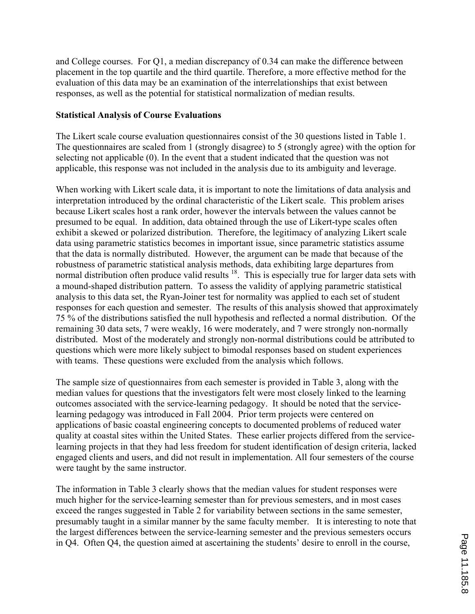and College courses. For Q1, a median discrepancy of 0.34 can make the difference between placement in the top quartile and the third quartile. Therefore, a more effective method for the evaluation of this data may be an examination of the interrelationships that exist between responses, as well as the potential for statistical normalization of median results.

### **Statistical Analysis of Course Evaluations**

The Likert scale course evaluation questionnaires consist of the 30 questions listed in Table 1. The questionnaires are scaled from 1 (strongly disagree) to 5 (strongly agree) with the option for selecting not applicable (0). In the event that a student indicated that the question was not applicable, this response was not included in the analysis due to its ambiguity and leverage.

When working with Likert scale data, it is important to note the limitations of data analysis and interpretation introduced by the ordinal characteristic of the Likert scale. This problem arises because Likert scales host a rank order, however the intervals between the values cannot be presumed to be equal. In addition, data obtained through the use of Likert-type scales often exhibit a skewed or polarized distribution. Therefore, the legitimacy of analyzing Likert scale data using parametric statistics becomes in important issue, since parametric statistics assume that the data is normally distributed. However, the argument can be made that because of the robustness of parametric statistical analysis methods, data exhibiting large departures from normal distribution often produce valid results  $18$ . This is especially true for larger data sets with a mound-shaped distribution pattern. To assess the validity of applying parametric statistical analysis to this data set, the Ryan-Joiner test for normality was applied to each set of student responses for each question and semester. The results of this analysis showed that approximately 75 % of the distributions satisfied the null hypothesis and reflected a normal distribution. Of the remaining 30 data sets, 7 were weakly, 16 were moderately, and 7 were strongly non-normally distributed. Most of the moderately and strongly non-normal distributions could be attributed to questions which were more likely subject to bimodal responses based on student experiences with teams. These questions were excluded from the analysis which follows.

The sample size of questionnaires from each semester is provided in Table 3, along with the median values for questions that the investigators felt were most closely linked to the learning outcomes associated with the service-learning pedagogy. It should be noted that the servicelearning pedagogy was introduced in Fall 2004. Prior term projects were centered on applications of basic coastal engineering concepts to documented problems of reduced water quality at coastal sites within the United States. These earlier projects differed from the servicelearning projects in that they had less freedom for student identification of design criteria, lacked engaged clients and users, and did not result in implementation. All four semesters of the course were taught by the same instructor.

The information in Table 3 clearly shows that the median values for student responses were much higher for the service-learning semester than for previous semesters, and in most cases exceed the ranges suggested in Table 2 for variability between sections in the same semester, presumably taught in a similar manner by the same faculty member. It is interesting to note that the largest differences between the service-learning semester and the previous semesters occurs in Q4. Often Q4, the question aimed at ascertaining the students' desire to enroll in the course,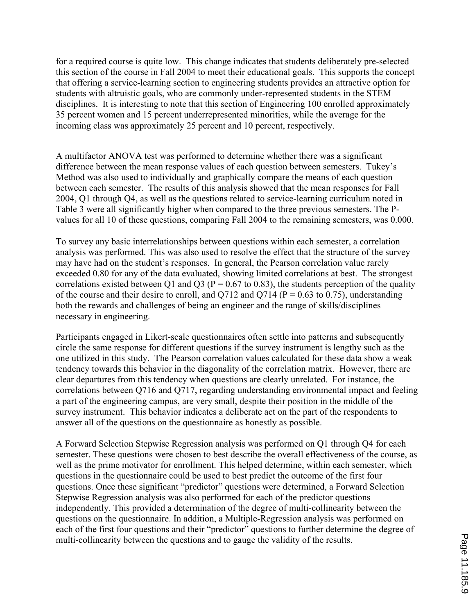for a required course is quite low. This change indicates that students deliberately pre-selected this section of the course in Fall 2004 to meet their educational goals. This supports the concept that offering a service-learning section to engineering students provides an attractive option for students with altruistic goals, who are commonly under-represented students in the STEM disciplines. It is interesting to note that this section of Engineering 100 enrolled approximately 35 percent women and 15 percent underrepresented minorities, while the average for the incoming class was approximately 25 percent and 10 percent, respectively.

A multifactor ANOVA test was performed to determine whether there was a significant difference between the mean response values of each question between semesters. Tukey's Method was also used to individually and graphically compare the means of each question between each semester. The results of this analysis showed that the mean responses for Fall 2004, Q1 through Q4, as well as the questions related to service-learning curriculum noted in Table 3 were all significantly higher when compared to the three previous semesters. The Pvalues for all 10 of these questions, comparing Fall 2004 to the remaining semesters, was 0.000.

To survey any basic interrelationships between questions within each semester, a correlation analysis was performed. This was also used to resolve the effect that the structure of the survey may have had on the student's responses. In general, the Pearson correlation value rarely exceeded 0.80 for any of the data evaluated, showing limited correlations at best. The strongest correlations existed between Q1 and Q3 ( $P = 0.67$  to 0.83), the students perception of the quality of the course and their desire to enroll, and  $O(712)$  and  $O(714)$  (P = 0.63 to 0.75), understanding both the rewards and challenges of being an engineer and the range of skills/disciplines necessary in engineering.

Participants engaged in Likert-scale questionnaires often settle into patterns and subsequently circle the same response for different questions if the survey instrument is lengthy such as the one utilized in this study. The Pearson correlation values calculated for these data show a weak tendency towards this behavior in the diagonality of the correlation matrix. However, there are clear departures from this tendency when questions are clearly unrelated. For instance, the correlations between Q716 and Q717, regarding understanding environmental impact and feeling a part of the engineering campus, are very small, despite their position in the middle of the survey instrument. This behavior indicates a deliberate act on the part of the respondents to answer all of the questions on the questionnaire as honestly as possible.

A Forward Selection Stepwise Regression analysis was performed on Q1 through Q4 for each semester. These questions were chosen to best describe the overall effectiveness of the course, as well as the prime motivator for enrollment. This helped determine, within each semester, which questions in the questionnaire could be used to best predict the outcome of the first four questions. Once these significant "predictor" questions were determined, a Forward Selection Stepwise Regression analysis was also performed for each of the predictor questions independently. This provided a determination of the degree of multi-collinearity between the questions on the questionnaire. In addition, a Multiple-Regression analysis was performed on each of the first four questions and their "predictor" questions to further determine the degree of multi-collinearity between the questions and to gauge the validity of the results.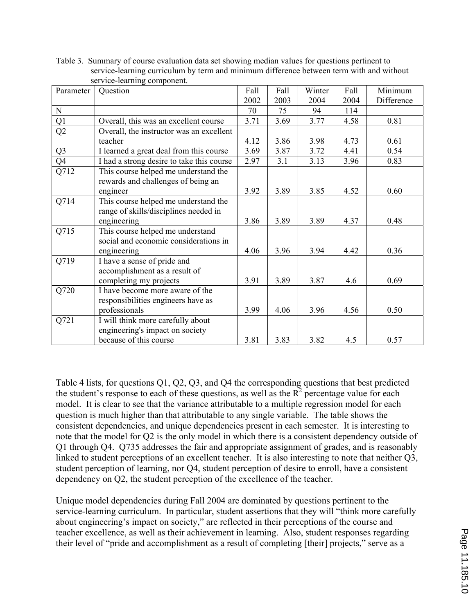| Parameter         | Question                                                                   | Fall | Fall | Winter | Fall | Minimum    |
|-------------------|----------------------------------------------------------------------------|------|------|--------|------|------------|
|                   |                                                                            | 2002 | 2003 | 2004   | 2004 | Difference |
| $\mathbf N$       |                                                                            | 70   | 75   | 94     | 114  |            |
| Q1                | Overall, this was an excellent course                                      | 3.71 | 3.69 | 3.77   | 4.58 | 0.81       |
| Q2                | Overall, the instructor was an excellent                                   |      |      |        |      |            |
|                   | teacher                                                                    | 4.12 | 3.86 | 3.98   | 4.73 | 0.61       |
| Q <sub>3</sub>    | I learned a great deal from this course                                    | 3.69 | 3.87 | 3.72   | 4.41 | 0.54       |
| $\overline{Q4}$   | I had a strong desire to take this course                                  | 2.97 | 3.1  | 3.13   | 3.96 | 0.83       |
| $\overline{Q712}$ | This course helped me understand the<br>rewards and challenges of being an |      |      |        |      |            |
|                   | engineer                                                                   | 3.92 | 3.89 | 3.85   | 4.52 | 0.60       |
| Q714              | This course helped me understand the                                       |      |      |        |      |            |
|                   | range of skills/disciplines needed in<br>engineering                       | 3.86 | 3.89 | 3.89   | 4.37 | 0.48       |
| Q715              | This course helped me understand                                           |      |      |        |      |            |
|                   | social and economic considerations in<br>engineering                       | 4.06 | 3.96 | 3.94   | 4.42 | 0.36       |
| Q719              | I have a sense of pride and                                                |      |      |        |      |            |
|                   | accomplishment as a result of                                              |      |      |        |      |            |
|                   | completing my projects                                                     | 3.91 | 3.89 | 3.87   | 4.6  | 0.69       |
| Q720              | I have become more aware of the                                            |      |      |        |      |            |
|                   | responsibilities engineers have as                                         |      |      |        |      |            |
|                   | professionals                                                              | 3.99 | 4.06 | 3.96   | 4.56 | 0.50       |
| Q721              | I will think more carefully about                                          |      |      |        |      |            |
|                   | engineering's impact on society                                            |      |      |        |      |            |
|                   | because of this course                                                     | 3.81 | 3.83 | 3.82   | 4.5  | 0.57       |

Table 3. Summary of course evaluation data set showing median values for questions pertinent to service-learning curriculum by term and minimum difference between term with and without service-learning component.

Table 4 lists, for questions Q1, Q2, Q3, and Q4 the corresponding questions that best predicted the student's response to each of these questions, as well as the  $R^2$  percentage value for each model. It is clear to see that the variance attributable to a multiple regression model for each question is much higher than that attributable to any single variable. The table shows the consistent dependencies, and unique dependencies present in each semester. It is interesting to note that the model for Q2 is the only model in which there is a consistent dependency outside of Q1 through Q4. Q735 addresses the fair and appropriate assignment of grades, and is reasonably linked to student perceptions of an excellent teacher. It is also interesting to note that neither Q3, student perception of learning, nor Q4, student perception of desire to enroll, have a consistent dependency on Q2, the student perception of the excellence of the teacher.

Unique model dependencies during Fall 2004 are dominated by questions pertinent to the service-learning curriculum. In particular, student assertions that they will "think more carefully about engineering's impact on society," are reflected in their perceptions of the course and teacher excellence, as well as their achievement in learning. Also, student responses regarding their level of "pride and accomplishment as a result of completing [their] projects," serve as a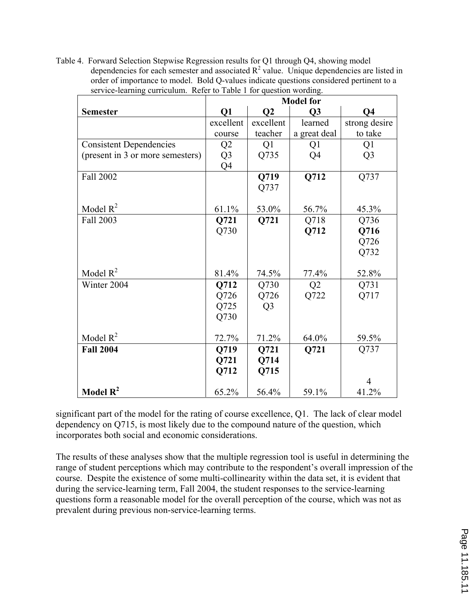Table 4. Forward Selection Stepwise Regression results for Q1 through Q4, showing model dependencies for each semester and associated  $R^2$  value. Unique dependencies are listed in order of importance to model. Bold Q-values indicate questions considered pertinent to a service-learning curriculum. Refer to Table 1 for question wording.

|                                  | <b>Model for</b> |                |                |                |  |  |
|----------------------------------|------------------|----------------|----------------|----------------|--|--|
| <b>Semester</b>                  | Q1               | Q <sub>2</sub> | Q3             | Q4             |  |  |
|                                  | excellent        | excellent      | learned        | strong desire  |  |  |
|                                  | course           | teacher        | a great deal   | to take        |  |  |
| <b>Consistent Dependencies</b>   | Q2               | Q <sub>1</sub> | Q1             | Q1             |  |  |
| (present in 3 or more semesters) | Q <sub>3</sub>   | Q735           | Q4             | Q <sub>3</sub> |  |  |
|                                  | Q4               |                |                |                |  |  |
| Fall 2002                        |                  | Q719           | Q712           | Q737           |  |  |
|                                  |                  | Q737           |                |                |  |  |
|                                  |                  |                |                |                |  |  |
| Model $R^2$                      | 61.1%            | 53.0%          | 56.7%          | 45.3%          |  |  |
| Fall 2003                        | Q721             | Q721           | Q718           | Q736           |  |  |
|                                  | Q730             |                | Q712           | Q716           |  |  |
|                                  |                  |                |                | Q726           |  |  |
|                                  |                  |                |                | Q732           |  |  |
|                                  |                  |                |                |                |  |  |
| Model $R^2$                      | 81.4%            | 74.5%          | 77.4%          | 52.8%          |  |  |
| Winter 2004                      | Q712             | Q730           | Q <sub>2</sub> | Q731           |  |  |
|                                  | Q726             | Q726           | Q722           | Q717           |  |  |
|                                  | Q725             | Q <sub>3</sub> |                |                |  |  |
|                                  | Q730             |                |                |                |  |  |
|                                  |                  |                |                |                |  |  |
| Model $R^2$                      | 72.7%            | 71.2%          | 64.0%          | 59.5%          |  |  |
| <b>Fall 2004</b>                 | Q719             | Q721           | Q721           | Q737           |  |  |
|                                  | Q721             | Q714           |                |                |  |  |
|                                  | Q712             | Q715           |                |                |  |  |
|                                  |                  |                |                | 4              |  |  |
| Model $R^2$                      | 65.2%            | 56.4%          | 59.1%          | 41.2%          |  |  |

significant part of the model for the rating of course excellence, Q1. The lack of clear model dependency on Q715, is most likely due to the compound nature of the question, which incorporates both social and economic considerations.

The results of these analyses show that the multiple regression tool is useful in determining the range of student perceptions which may contribute to the respondent's overall impression of the course. Despite the existence of some multi-collinearity within the data set, it is evident that during the service-learning term, Fall 2004, the student responses to the service-learning questions form a reasonable model for the overall perception of the course, which was not as prevalent during previous non-service-learning terms.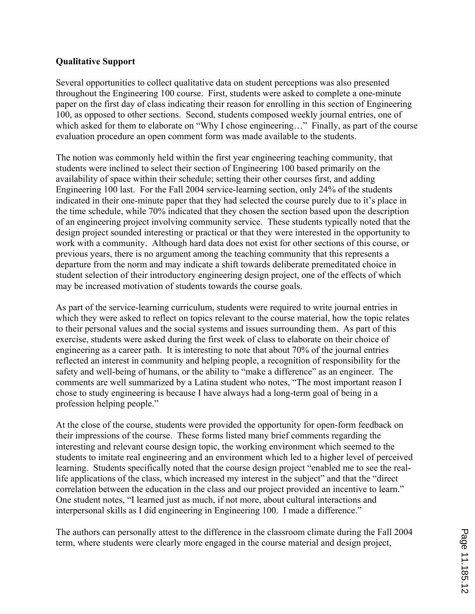### **Qualitative Support**

Several opportunities to collect qualitative data on student perceptions was also presented throughout the Engineering 100 course. First, students were asked to complete a one-minute paper on the first day of class indicating their reason for enrolling in this section of Engineering 100, as opposed to other sections. Second, students composed weekly journal entries, one of which asked for them to elaborate on "Why I chose engineering..." Finally, as part of the course evaluation procedure an open comment form was made available to the students.

The notion was commonly held within the first year engineering teaching community, that students were inclined to select their section of Engineering 100 based primarily on the availability of space within their schedule; setting their other courses first, and adding Engineering 100 last. For the Fall 2004 service-learning section, only 24% of the students indicated in their one-minute paper that they had selected the course purely due to it's place in the time schedule, while 70% indicated that they chosen the section based upon the description of an engineering project involving community service. These students typically noted that the design project sounded interesting or practical or that they were interested in the opportunity to work with a community. Although hard data does not exist for other sections of this course, or previous years, there is no argument among the teaching community that this represents a departure from the norm and may indicate a shift towards deliberate premeditated choice in student selection of their introductory engineering design project, one of the effects of which may be increased motivation of students towards the course goals.

As part of the service-learning curriculum, students were required to write journal entries in which they were asked to reflect on topics relevant to the course material, how the topic relates to their personal values and the social systems and issues surrounding them. As part of this exercise, students were asked during the first week of class to elaborate on their choice of engineering as a career path. It is interesting to note that about 70% of the journal entries reflected an interest in community and helping people, a recognition of responsibility for the safety and well-being of humans, or the ability to "make a difference" as an engineer. The comments are well summarized by a Latina student who notes, "The most important reason I chose to study engineering is because I have always had a long-term goal of being in a profession helping people."

At the close of the course, students were provided the opportunity for open-form feedback on their impressions of the course. These forms listed many brief comments regarding the interesting and relevant course design topic, the working environment which seemed to the students to imitate real engineering and an environment which led to a higher level of perceived learning. Students specifically noted that the course design project "enabled me to see the reallife applications of the class, which increased my interest in the subject" and that the "direct correlation between the education in the class and our project provided an incentive to learn." One student notes, "I learned just as much, if not more, about cultural interactions and interpersonal skills as I did engineering in Engineering 100. I made a difference."

The authors can personally attest to the difference in the classroom climate during the Fall 2004 term, where students were clearly more engaged in the course material and design project,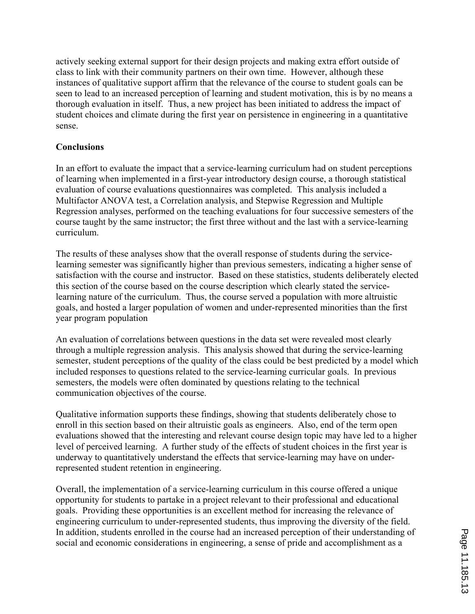actively seeking external support for their design projects and making extra effort outside of class to link with their community partners on their own time. However, although these instances of qualitative support affirm that the relevance of the course to student goals can be seen to lead to an increased perception of learning and student motivation, this is by no means a thorough evaluation in itself. Thus, a new project has been initiated to address the impact of student choices and climate during the first year on persistence in engineering in a quantitative sense.

## **Conclusions**

In an effort to evaluate the impact that a service-learning curriculum had on student perceptions of learning when implemented in a first-year introductory design course, a thorough statistical evaluation of course evaluations questionnaires was completed. This analysis included a Multifactor ANOVA test, a Correlation analysis, and Stepwise Regression and Multiple Regression analyses, performed on the teaching evaluations for four successive semesters of the course taught by the same instructor; the first three without and the last with a service-learning curriculum.

The results of these analyses show that the overall response of students during the servicelearning semester was significantly higher than previous semesters, indicating a higher sense of satisfaction with the course and instructor. Based on these statistics, students deliberately elected this section of the course based on the course description which clearly stated the servicelearning nature of the curriculum. Thus, the course served a population with more altruistic goals, and hosted a larger population of women and under-represented minorities than the first year program population

An evaluation of correlations between questions in the data set were revealed most clearly through a multiple regression analysis. This analysis showed that during the service-learning semester, student perceptions of the quality of the class could be best predicted by a model which included responses to questions related to the service-learning curricular goals. In previous semesters, the models were often dominated by questions relating to the technical communication objectives of the course.

Qualitative information supports these findings, showing that students deliberately chose to enroll in this section based on their altruistic goals as engineers. Also, end of the term open evaluations showed that the interesting and relevant course design topic may have led to a higher level of perceived learning. A further study of the effects of student choices in the first year is underway to quantitatively understand the effects that service-learning may have on underrepresented student retention in engineering.

Overall, the implementation of a service-learning curriculum in this course offered a unique opportunity for students to partake in a project relevant to their professional and educational goals. Providing these opportunities is an excellent method for increasing the relevance of engineering curriculum to under-represented students, thus improving the diversity of the field. In addition, students enrolled in the course had an increased perception of their understanding of social and economic considerations in engineering, a sense of pride and accomplishment as a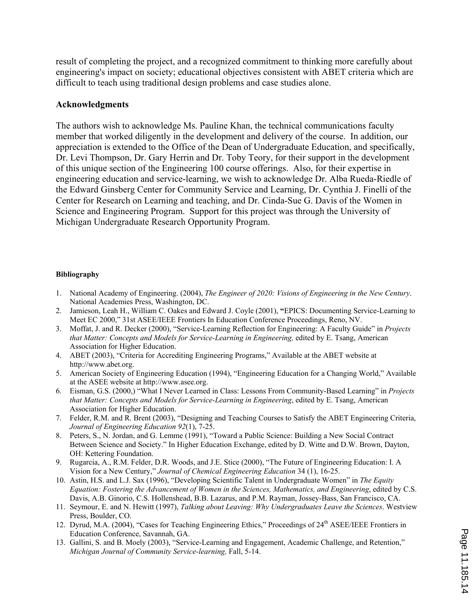result of completing the project, and a recognized commitment to thinking more carefully about engineering's impact on society; educational objectives consistent with ABET criteria which are difficult to teach using traditional design problems and case studies alone.

#### **Acknowledgments**

The authors wish to acknowledge Ms. Pauline Khan, the technical communications faculty member that worked diligently in the development and delivery of the course. In addition, our appreciation is extended to the Office of the Dean of Undergraduate Education, and specifically, Dr. Levi Thompson, Dr. Gary Herrin and Dr. Toby Teory, for their support in the development of this unique section of the Engineering 100 course offerings. Also, for their expertise in engineering education and service-learning, we wish to acknowledge Dr. Alba Rueda-Riedle of the Edward Ginsberg Center for Community Service and Learning, Dr. Cynthia J. Finelli of the Center for Research on Learning and teaching, and Dr. Cinda-Sue G. Davis of the Women in Science and Engineering Program. Support for this project was through the University of Michigan Undergraduate Research Opportunity Program.

#### **Bibliography**

- 1. National Academy of Engineering. (2004), *The Engineer of 2020: Visions of Engineering in the New Century*. National Academies Press, Washington, DC.
- 2. Jamieson, Leah H., William C. Oakes and Edward J. Coyle (2001), **"**EPICS: Documenting Service-Learning to Meet EC 2000," 31st ASEE/IEEE Frontiers In Education Conference Proceedings, Reno, NV.
- 3. Moffat, J. and R. Decker (2000), "Service-Learning Reflection for Engineering: A Faculty Guide" in *Projects that Matter: Concepts and Models for Service-Learning in Engineering,* edited by E. Tsang, American Association for Higher Education.
- 4. ABET (2003), "Criteria for Accrediting Engineering Programs," Available at the ABET website at http://www.abet.org.
- 5. American Society of Engineering Education (1994), "Engineering Education for a Changing World," Available at the ASEE website at http://www.asee.org.
- 6. Eisman, G.S. (2000,) "What I Never Learned in Class: Lessons From Community-Based Learning" in *Projects that Matter: Concepts and Models for Service-Learning in Engineering*, edited by E. Tsang, American Association for Higher Education.
- 7. Felder, R.M. and R. Brent (2003), "Designing and Teaching Courses to Satisfy the ABET Engineering Criteria, *Journal of Engineering Education 92*(1), 7-25.
- 8. Peters, S., N. Jordan, and G. Lemme (1991), "Toward a Public Science: Building a New Social Contract Between Science and Society." In Higher Education Exchange, edited by D. Witte and D.W. Brown, Dayton, OH: Kettering Foundation.
- 9. Rugarcia, A., R.M. Felder, D.R. Woods, and J.E. Stice (2000), "The Future of Engineering Education: I. A Vision for a New Century," *Journal of Chemical Engineering Education* 34 (1), 16-25.
- 10. Astin, H.S. and L.J. Sax (1996), "Developing Scientific Talent in Undergraduate Women" in *The Equity Equation: Fostering the Advancement of Women in the Sciences, Mathematics, and Engineering*, edited by C.S. Davis, A.B. Ginorio, C.S. Hollenshead, B.B. Lazarus, and P.M. Rayman, Jossey-Bass, San Francisco, CA.
- 11. Seymour, E. and N. Hewitt (1997), *Talking about Leaving: Why Undergraduates Leave the Sciences*. Westview Press, Boulder, CO.
- 12. Dyrud, M.A. (2004), "Cases for Teaching Engineering Ethics," Proceedings of 24<sup>th</sup> ASEE/IEEE Frontiers in Education Conference, Savannah, GA.
- 13. Gallini, S. and B. Moely (2003), "Service-Learning and Engagement, Academic Challenge, and Retention," *Michigan Journal of Community Service-learning,* Fall, 5-14.